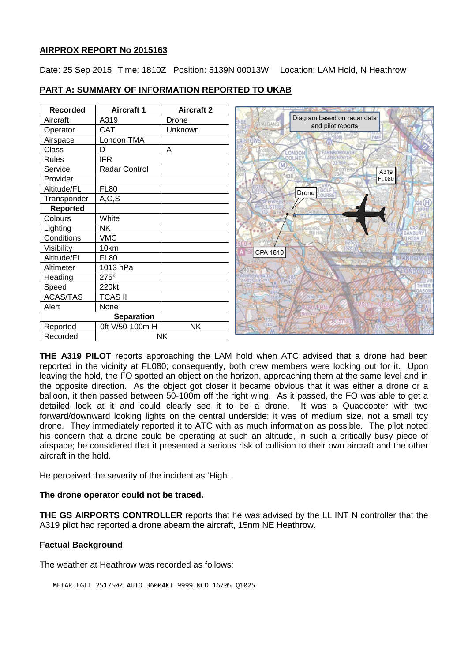### **AIRPROX REPORT No 2015163**

Date: 25 Sep 2015 Time: 1810Z Position: 5139N 00013W Location: LAM Hold, N Heathrow

| <b>Recorded</b>   | <b>Aircraft 1</b> | <b>Aircraft 2</b> |                             |                    |
|-------------------|-------------------|-------------------|-----------------------------|--------------------|
| Aircraft          | A319              | Drone             | Diagram based on radar data |                    |
| Operator          | <b>CAT</b>        | Unknown           |                             | and pilot reports  |
| Airspace          | London TMA        |                   |                             | DME                |
| Class             | D                 | A                 | <b>LONDON</b>               | <b>FARNBOROUGH</b> |
| <b>Rules</b>      | <b>IFR</b>        |                   | COLNEY                      |                    |
| Service           | Radar Control     |                   | M                           | A319               |
| Provider          |                   |                   |                             | FL080              |
| Altitude/FL       | <b>FL80</b>       |                   | GOLF<br>Drone               |                    |
| Transponder       | A, C, S           |                   | OURSE                       |                    |
| <b>Reported</b>   |                   |                   |                             |                    |
| Colours           | White             |                   |                             |                    |
| Lighting          | <b>NK</b>         |                   | 502                         |                    |
| Conditions        | <b>VMC</b>        |                   |                             |                    |
| Visibility        | 10km              |                   | CPA 1810                    |                    |
| Altitude/FL       | <b>FL80</b>       |                   |                             |                    |
| Altimeter         | 1013 hPa          |                   |                             |                    |
| Heading           | 275°              |                   |                             |                    |
| Speed             | 220kt             |                   |                             |                    |
| <b>ACAS/TAS</b>   | <b>TCAS II</b>    |                   |                             |                    |
| Alert             | None              |                   |                             |                    |
| <b>Separation</b> |                   |                   |                             |                    |
| Reported          | 0ft V/50-100m H   | <b>NK</b>         |                             |                    |
| Recorded          |                   | <b>NK</b>         |                             |                    |

## **PART A: SUMMARY OF INFORMATION REPORTED TO UKAB**

**THE A319 PILOT** reports approaching the LAM hold when ATC advised that a drone had been reported in the vicinity at FL080; consequently, both crew members were looking out for it. Upon leaving the hold, the FO spotted an object on the horizon, approaching them at the same level and in the opposite direction. As the object got closer it became obvious that it was either a drone or a balloon, it then passed between 50-100m off the right wing. As it passed, the FO was able to get a detailed look at it and could clearly see it to be a drone. It was a Quadcopter with two forward/downward looking lights on the central underside; it was of medium size, not a small toy drone. They immediately reported it to ATC with as much information as possible. The pilot noted his concern that a drone could be operating at such an altitude, in such a critically busy piece of airspace; he considered that it presented a serious risk of collision to their own aircraft and the other aircraft in the hold.

He perceived the severity of the incident as 'High'.

### **The drone operator could not be traced.**

**THE GS AIRPORTS CONTROLLER** reports that he was advised by the LL INT N controller that the A319 pilot had reported a drone abeam the aircraft, 15nm NE Heathrow.

### **Factual Background**

The weather at Heathrow was recorded as follows:

METAR EGLL 251750Z AUTO 36004KT 9999 NCD 16/05 Q1025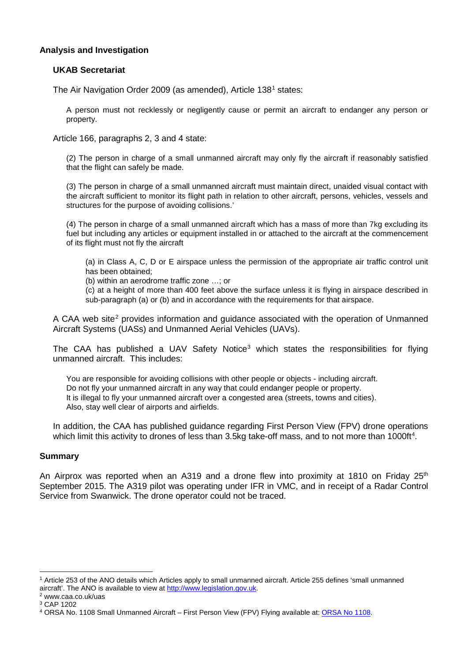### **Analysis and Investigation**

#### **UKAB Secretariat**

The Air Navigation Order 2009 (as amended), Article [1](#page-1-0)38<sup>1</sup> states:

A person must not recklessly or negligently cause or permit an aircraft to endanger any person or property.

Article 166, paragraphs 2, 3 and 4 state:

(2) The person in charge of a small unmanned aircraft may only fly the aircraft if reasonably satisfied that the flight can safely be made.

(3) The person in charge of a small unmanned aircraft must maintain direct, unaided visual contact with the aircraft sufficient to monitor its flight path in relation to other aircraft, persons, vehicles, vessels and structures for the purpose of avoiding collisions.'

(4) The person in charge of a small unmanned aircraft which has a mass of more than 7kg excluding its fuel but including any articles or equipment installed in or attached to the aircraft at the commencement of its flight must not fly the aircraft

(a) in Class A, C, D or E airspace unless the permission of the appropriate air traffic control unit has been obtained;

(b) within an aerodrome traffic zone …; or

(c) at a height of more than 400 feet above the surface unless it is flying in airspace described in sub-paragraph (a) or (b) and in accordance with the requirements for that airspace.

A CAA web site<sup>[2](#page-1-1)</sup> provides information and guidance associated with the operation of Unmanned Aircraft Systems (UASs) and Unmanned Aerial Vehicles (UAVs).

The CAA has published a UAV Safety Notice<sup>[3](#page-1-2)</sup> which states the responsibilities for flying unmanned aircraft. This includes:

You are responsible for avoiding collisions with other people or objects - including aircraft. Do not fly your unmanned aircraft in any way that could endanger people or property. It is illegal to fly your unmanned aircraft over a congested area (streets, towns and cities). Also, stay well clear of airports and airfields.

In addition, the CAA has published guidance regarding First Person View (FPV) drone operations which limit this activity to drones of less than 3.5kg take-off mass, and to not more than 1000ft<sup>[4](#page-1-3)</sup>.

#### **Summary**

An Airprox was reported when an A319 and a drone flew into proximity at 1810 on Friday  $25<sup>th</sup>$ September 2015. The A319 pilot was operating under IFR in VMC, and in receipt of a Radar Control Service from Swanwick. The drone operator could not be traced.

l

<span id="page-1-0"></span><sup>1</sup> Article 253 of the ANO details which Articles apply to small unmanned aircraft. Article 255 defines 'small unmanned aircraft'. The ANO is available to view at [http://www.legislation.gov.uk.](http://www.legislation.gov.uk/) 2 www.caa.co.uk/uas

<span id="page-1-1"></span>

<span id="page-1-2"></span><sup>3</sup> CAP 1202

<span id="page-1-3"></span><sup>4</sup> ORSA No. 1108 Small Unmanned Aircraft – First Person View (FPV) Flying available at[: ORSA No 1108.](http://publicapps.caa.co.uk/modalapplication.aspx?appid=11&catid=1&id=6746&mode=detail&pagetype=65)